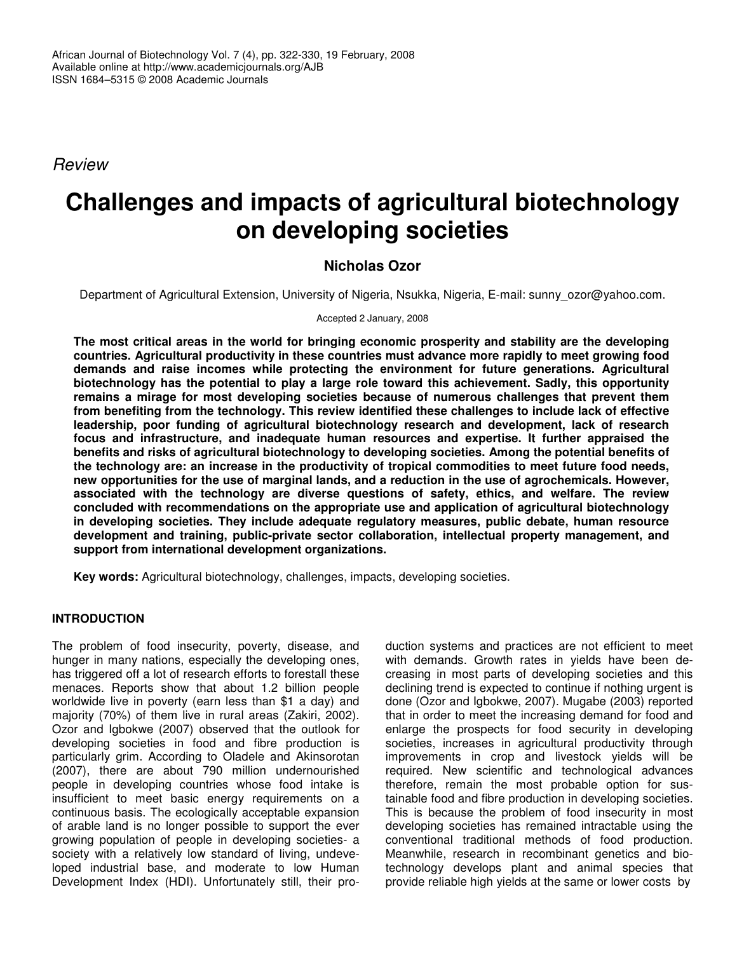*Review*

# **Challenges and impacts of agricultural biotechnology on developing societies**

# **Nicholas Ozor**

Department of Agricultural Extension, University of Nigeria, Nsukka, Nigeria, E-mail: sunny\_ozor@yahoo.com.

Accepted 2 January, 2008

**The most critical areas in the world for bringing economic prosperity and stability are the developing countries. Agricultural productivity in these countries must advance more rapidly to meet growing food demands and raise incomes while protecting the environment for future generations. Agricultural biotechnology has the potential to play a large role toward this achievement. Sadly, this opportunity remains a mirage for most developing societies because of numerous challenges that prevent them from benefiting from the technology. This review identified these challenges to include lack of effective leadership, poor funding of agricultural biotechnology research and development, lack of research focus and infrastructure, and inadequate human resources and expertise. It further appraised the benefits and risks of agricultural biotechnology to developing societies. Among the potential benefits of the technology are: an increase in the productivity of tropical commodities to meet future food needs, new opportunities for the use of marginal lands, and a reduction in the use of agrochemicals. However, associated with the technology are diverse questions of safety, ethics, and welfare. The review concluded with recommendations on the appropriate use and application of agricultural biotechnology in developing societies. They include adequate regulatory measures, public debate, human resource development and training, public-private sector collaboration, intellectual property management, and support from international development organizations.**

**Key words:** Agricultural biotechnology, challenges, impacts, developing societies.

# **INTRODUCTION**

The problem of food insecurity, poverty, disease, and hunger in many nations, especially the developing ones, has triggered off a lot of research efforts to forestall these menaces. Reports show that about 1.2 billion people worldwide live in poverty (earn less than \$1 a day) and majority (70%) of them live in rural areas (Zakiri, 2002). Ozor and Igbokwe (2007) observed that the outlook for developing societies in food and fibre production is particularly grim. According to Oladele and Akinsorotan (2007), there are about 790 million undernourished people in developing countries whose food intake is insufficient to meet basic energy requirements on a continuous basis. The ecologically acceptable expansion of arable land is no longer possible to support the ever growing population of people in developing societies- a society with a relatively low standard of living, undeveloped industrial base, and moderate to low Human Development Index (HDI). Unfortunately still, their pro-

duction systems and practices are not efficient to meet with demands. Growth rates in yields have been decreasing in most parts of developing societies and this declining trend is expected to continue if nothing urgent is done (Ozor and Igbokwe, 2007). Mugabe (2003) reported that in order to meet the increasing demand for food and enlarge the prospects for food security in developing societies, increases in agricultural productivity through improvements in crop and livestock yields will be required. New scientific and technological advances therefore, remain the most probable option for sustainable food and fibre production in developing societies. This is because the problem of food insecurity in most developing societies has remained intractable using the conventional traditional methods of food production. Meanwhile, research in recombinant genetics and biotechnology develops plant and animal species that provide reliable high yields at the same or lower costs by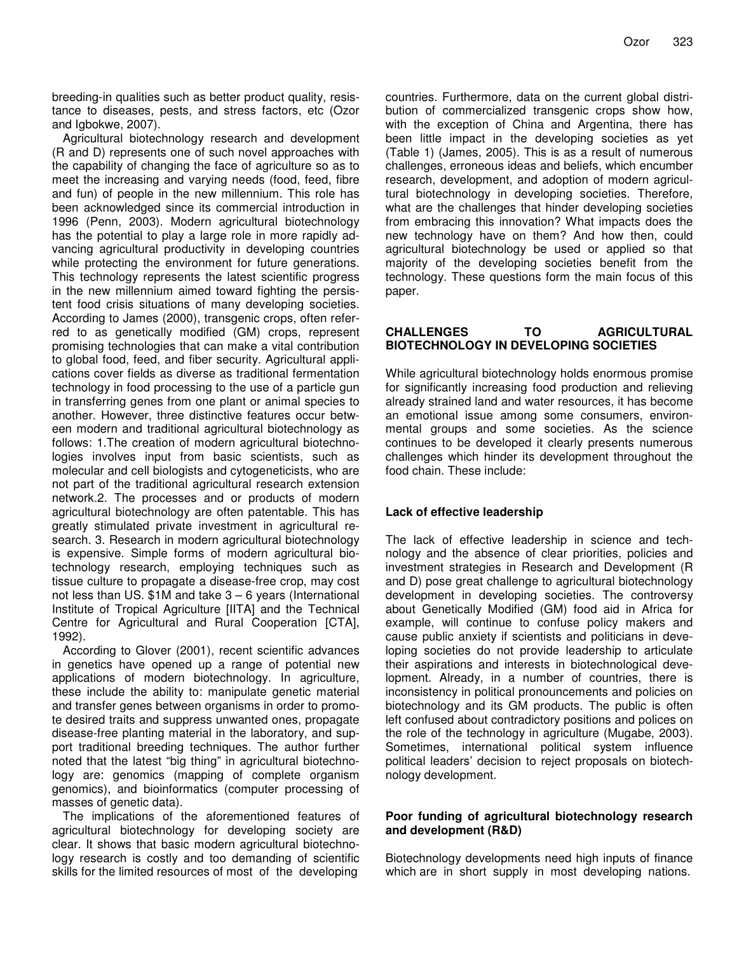breeding-in qualities such as better product quality, resistance to diseases, pests, and stress factors, etc (Ozor and Igbokwe, 2007).

Agricultural biotechnology research and development (R and D) represents one of such novel approaches with the capability of changing the face of agriculture so as to meet the increasing and varying needs (food, feed, fibre and fun) of people in the new millennium. This role has been acknowledged since its commercial introduction in 1996 (Penn, 2003). Modern agricultural biotechnology has the potential to play a large role in more rapidly advancing agricultural productivity in developing countries while protecting the environment for future generations. This technology represents the latest scientific progress in the new millennium aimed toward fighting the persistent food crisis situations of many developing societies. According to James (2000), transgenic crops, often referred to as genetically modified (GM) crops, represent promising technologies that can make a vital contribution to global food, feed, and fiber security. Agricultural applications cover fields as diverse as traditional fermentation technology in food processing to the use of a particle gun in transferring genes from one plant or animal species to another. However, three distinctive features occur between modern and traditional agricultural biotechnology as follows: 1.The creation of modern agricultural biotechnologies involves input from basic scientists, such as molecular and cell biologists and cytogeneticists, who are not part of the traditional agricultural research extension network.2. The processes and or products of modern agricultural biotechnology are often patentable. This has greatly stimulated private investment in agricultural research. 3. Research in modern agricultural biotechnology is expensive. Simple forms of modern agricultural biotechnology research, employing techniques such as tissue culture to propagate a disease-free crop, may cost not less than US. \$1M and take 3 – 6 years (International Institute of Tropical Agriculture [IITA] and the Technical Centre for Agricultural and Rural Cooperation [CTA], 1992).

According to Glover (2001), recent scientific advances in genetics have opened up a range of potential new applications of modern biotechnology. In agriculture, these include the ability to: manipulate genetic material and transfer genes between organisms in order to promote desired traits and suppress unwanted ones, propagate disease-free planting material in the laboratory, and support traditional breeding techniques. The author further noted that the latest "big thing" in agricultural biotechnology are: genomics (mapping of complete organism genomics), and bioinformatics (computer processing of masses of genetic data).

The implications of the aforementioned features of agricultural biotechnology for developing society are clear. It shows that basic modern agricultural biotechnology research is costly and too demanding of scientific skills for the limited resources of most of the developing

countries. Furthermore, data on the current global distribution of commercialized transgenic crops show how, with the exception of China and Argentina, there has been little impact in the developing societies as yet (Table 1) (James, 2005). This is as a result of numerous challenges, erroneous ideas and beliefs, which encumber research, development, and adoption of modern agricultural biotechnology in developing societies. Therefore, what are the challenges that hinder developing societies from embracing this innovation? What impacts does the new technology have on them? And how then, could agricultural biotechnology be used or applied so that majority of the developing societies benefit from the technology. These questions form the main focus of this paper.

#### **CHALLENGES TO AGRICULTURAL BIOTECHNOLOGY IN DEVELOPING SOCIETIES**

While agricultural biotechnology holds enormous promise for significantly increasing food production and relieving already strained land and water resources, it has become an emotional issue among some consumers, environmental groups and some societies. As the science continues to be developed it clearly presents numerous challenges which hinder its development throughout the food chain. These include:

# **Lack of effective leadership**

The lack of effective leadership in science and technology and the absence of clear priorities, policies and investment strategies in Research and Development (R and D) pose great challenge to agricultural biotechnology development in developing societies. The controversy about Genetically Modified (GM) food aid in Africa for example, will continue to confuse policy makers and cause public anxiety if scientists and politicians in developing societies do not provide leadership to articulate their aspirations and interests in biotechnological development. Already, in a number of countries, there is inconsistency in political pronouncements and policies on biotechnology and its GM products. The public is often left confused about contradictory positions and polices on the role of the technology in agriculture (Mugabe, 2003). Sometimes, international political system influence political leaders' decision to reject proposals on biotechnology development.

#### **Poor funding of agricultural biotechnology research and development (R&D)**

Biotechnology developments need high inputs of finance which are in short supply in most developing nations.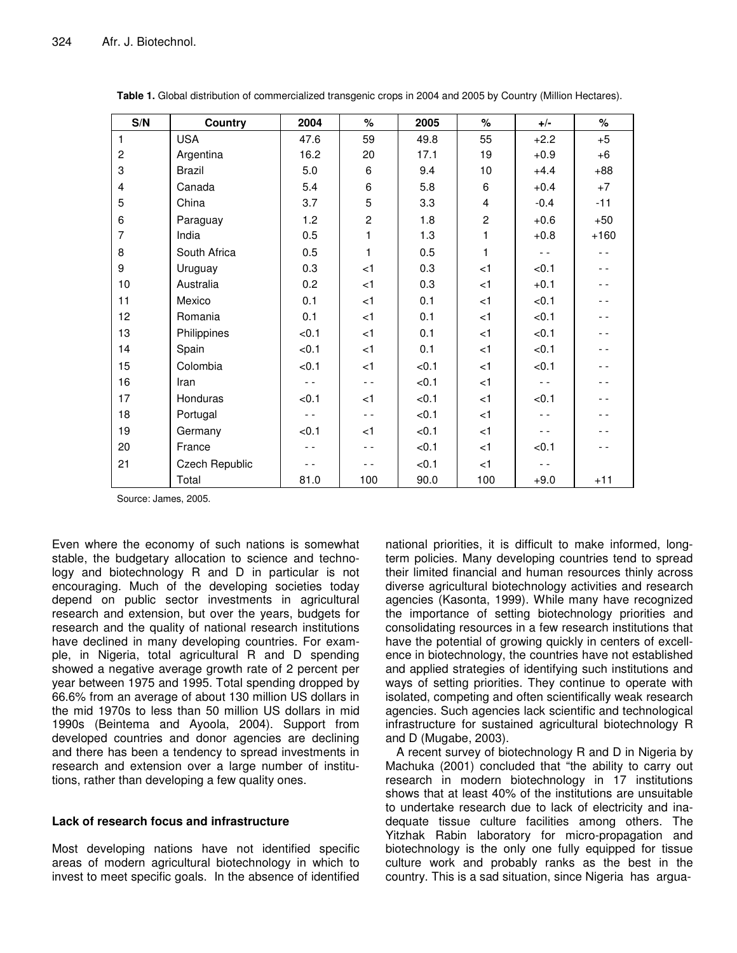| S/N            | Country        | 2004  | $\%$           | 2005  | $\%$           | $+/-$         | $\%$   |
|----------------|----------------|-------|----------------|-------|----------------|---------------|--------|
| $\mathbf{1}$   | <b>USA</b>     | 47.6  | 59             | 49.8  | 55             | $+2.2$        | $+5$   |
| $\overline{c}$ | Argentina      | 16.2  | 20             | 17.1  | 19             | $+0.9$        | $+6$   |
| 3              | Brazil         | 5.0   | 6              | 9.4   | 10             | $+4.4$        | $+88$  |
| $\overline{4}$ | Canada         | 5.4   | 6              | 5.8   | 6              | $+0.4$        | $+7$   |
| 5              | China          | 3.7   | 5              | 3.3   | 4              | $-0.4$        | $-11$  |
| 6              | Paraguay       | 1.2   | $\overline{c}$ | 1.8   | $\overline{c}$ | $+0.6$        | $+50$  |
| $\overline{7}$ | India          | 0.5   | $\mathbf{1}$   | 1.3   | 1              | $+0.8$        | $+160$ |
| 8              | South Africa   | 0.5   | $\mathbf{1}$   | 0.5   | 1              | $\sim$ $\sim$ | - -    |
| 9              | Uruguay        | 0.3   | $<$ 1          | 0.3   | $<$ 1          | < 0.1         | - -    |
| 10             | Australia      | 0.2   | < 1            | 0.3   | $<$ 1          | $+0.1$        | - -    |
| 11             | Mexico         | 0.1   | < 1            | 0.1   | $<$ 1          | < 0.1         | - -    |
| 12             | Romania        | 0.1   | $<$ 1          | 0.1   | $<$ 1          | < 0.1         | - -    |
| 13             | Philippines    | < 0.1 | < 1            | 0.1   | < 1            | < 0.1         | - -    |
| 14             | Spain          | < 0.1 | < 1            | 0.1   | < 1            | < 0.1         | - -    |
| 15             | Colombia       | < 0.1 | < 1            | < 0.1 | $<$ 1          | < 0.1         | - -    |
| 16             | Iran           | $ -$  | $-$            | < 0.1 | < 1            | $ -$          | . .    |
| 17             | Honduras       | < 0.1 | < 1            | < 0.1 | < 1            | < 0.1         | - -    |
| 18             | Portugal       | $-$   | $ -$           | < 0.1 | $<$ 1          | $ -$          | - -    |
| 19             | Germany        | < 0.1 | $<$ 1          | < 0.1 | < 1            |               |        |
| 20             | France         | - -   | $ -$           | < 0.1 | $<$ 1          | < 0.1         |        |
| 21             | Czech Republic | $ -$  | - -            | < 0.1 | $<$ 1          |               |        |
|                | Total          | 81.0  | 100            | 90.0  | 100            | $+9.0$        | $+11$  |

**Table 1.** Global distribution of commercialized transgenic crops in 2004 and 2005 by Country (Million Hectares).

Source: James, 2005.

Even where the economy of such nations is somewhat stable, the budgetary allocation to science and technology and biotechnology R and D in particular is not encouraging. Much of the developing societies today depend on public sector investments in agricultural research and extension, but over the years, budgets for research and the quality of national research institutions have declined in many developing countries. For example, in Nigeria, total agricultural R and D spending showed a negative average growth rate of 2 percent per year between 1975 and 1995. Total spending dropped by 66.6% from an average of about 130 million US dollars in the mid 1970s to less than 50 million US dollars in mid 1990s (Beintema and Ayoola, 2004). Support from developed countries and donor agencies are declining and there has been a tendency to spread investments in research and extension over a large number of institutions, rather than developing a few quality ones.

#### **Lack of research focus and infrastructure**

Most developing nations have not identified specific areas of modern agricultural biotechnology in which to invest to meet specific goals. In the absence of identified

national priorities, it is difficult to make informed, longterm policies. Many developing countries tend to spread their limited financial and human resources thinly across diverse agricultural biotechnology activities and research agencies (Kasonta, 1999). While many have recognized the importance of setting biotechnology priorities and consolidating resources in a few research institutions that have the potential of growing quickly in centers of excellence in biotechnology, the countries have not established and applied strategies of identifying such institutions and ways of setting priorities. They continue to operate with isolated, competing and often scientifically weak research agencies. Such agencies lack scientific and technological infrastructure for sustained agricultural biotechnology R and D (Mugabe, 2003).

A recent survey of biotechnology R and D in Nigeria by Machuka (2001) concluded that "the ability to carry out research in modern biotechnology in 17 institutions shows that at least 40% of the institutions are unsuitable to undertake research due to lack of electricity and inadequate tissue culture facilities among others. The Yitzhak Rabin laboratory for micro-propagation and biotechnology is the only one fully equipped for tissue culture work and probably ranks as the best in the country. This is a sad situation, since Nigeria has argua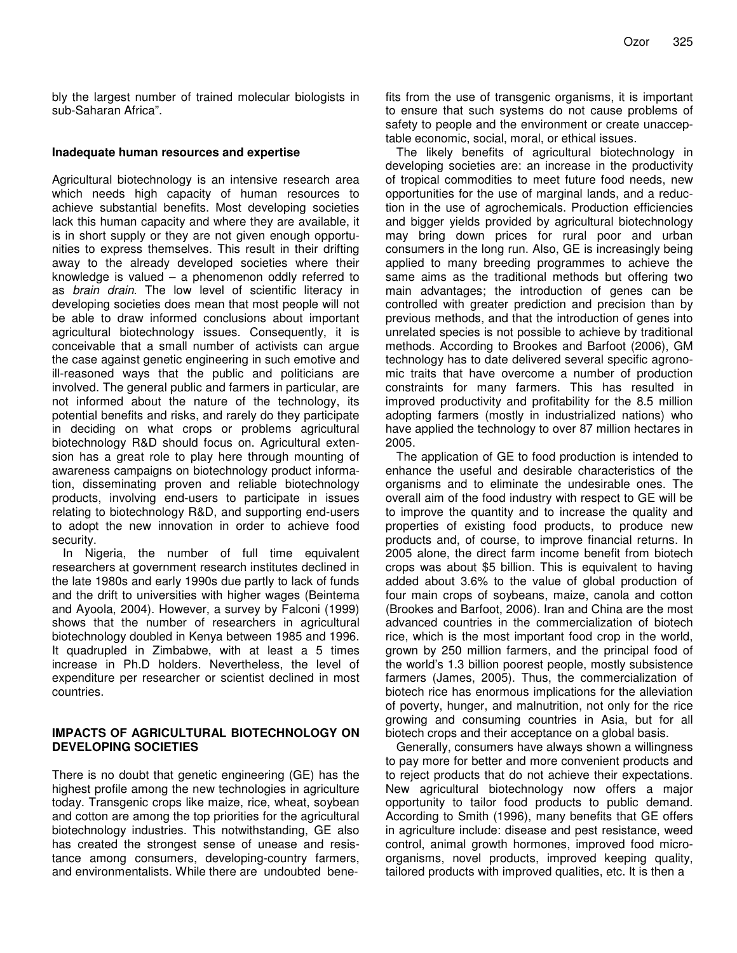bly the largest number of trained molecular biologists in sub-Saharan Africa".

#### **Inadequate human resources and expertise**

Agricultural biotechnology is an intensive research area which needs high capacity of human resources to achieve substantial benefits. Most developing societies lack this human capacity and where they are available, it is in short supply or they are not given enough opportunities to express themselves. This result in their drifting away to the already developed societies where their knowledge is valued  $-$  a phenomenon oddly referred to as *brain drain*. The low level of scientific literacy in developing societies does mean that most people will not be able to draw informed conclusions about important agricultural biotechnology issues. Consequently, it is conceivable that a small number of activists can argue the case against genetic engineering in such emotive and ill-reasoned ways that the public and politicians are involved. The general public and farmers in particular, are not informed about the nature of the technology, its potential benefits and risks, and rarely do they participate in deciding on what crops or problems agricultural biotechnology R&D should focus on. Agricultural extension has a great role to play here through mounting of awareness campaigns on biotechnology product information, disseminating proven and reliable biotechnology products, involving end-users to participate in issues relating to biotechnology R&D, and supporting end-users to adopt the new innovation in order to achieve food security.

In Nigeria, the number of full time equivalent researchers at government research institutes declined in the late 1980s and early 1990s due partly to lack of funds and the drift to universities with higher wages (Beintema and Ayoola, 2004). However, a survey by Falconi (1999) shows that the number of researchers in agricultural biotechnology doubled in Kenya between 1985 and 1996. It quadrupled in Zimbabwe, with at least a 5 times increase in Ph.D holders. Nevertheless, the level of expenditure per researcher or scientist declined in most countries.

#### **IMPACTS OF AGRICULTURAL BIOTECHNOLOGY ON DEVELOPING SOCIETIES**

There is no doubt that genetic engineering (GE) has the highest profile among the new technologies in agriculture today. Transgenic crops like maize, rice, wheat, soybean and cotton are among the top priorities for the agricultural biotechnology industries. This notwithstanding, GE also has created the strongest sense of unease and resistance among consumers, developing-country farmers, and environmentalists. While there are undoubted benefits from the use of transgenic organisms, it is important to ensure that such systems do not cause problems of safety to people and the environment or create unacceptable economic, social, moral, or ethical issues.

The likely benefits of agricultural biotechnology in developing societies are: an increase in the productivity of tropical commodities to meet future food needs, new opportunities for the use of marginal lands, and a reduction in the use of agrochemicals. Production efficiencies and bigger yields provided by agricultural biotechnology may bring down prices for rural poor and urban consumers in the long run. Also, GE is increasingly being applied to many breeding programmes to achieve the same aims as the traditional methods but offering two main advantages; the introduction of genes can be controlled with greater prediction and precision than by previous methods, and that the introduction of genes into unrelated species is not possible to achieve by traditional methods. According to Brookes and Barfoot (2006), GM technology has to date delivered several specific agronomic traits that have overcome a number of production constraints for many farmers. This has resulted in improved productivity and profitability for the 8.5 million adopting farmers (mostly in industrialized nations) who have applied the technology to over 87 million hectares in 2005.

The application of GE to food production is intended to enhance the useful and desirable characteristics of the organisms and to eliminate the undesirable ones. The overall aim of the food industry with respect to GE will be to improve the quantity and to increase the quality and properties of existing food products, to produce new products and, of course, to improve financial returns. In 2005 alone, the direct farm income benefit from biotech crops was about \$5 billion. This is equivalent to having added about 3.6% to the value of global production of four main crops of soybeans, maize, canola and cotton (Brookes and Barfoot, 2006). Iran and China are the most advanced countries in the commercialization of biotech rice, which is the most important food crop in the world, grown by 250 million farmers, and the principal food of the world's 1.3 billion poorest people, mostly subsistence farmers (James, 2005). Thus, the commercialization of biotech rice has enormous implications for the alleviation of poverty, hunger, and malnutrition, not only for the rice growing and consuming countries in Asia, but for all biotech crops and their acceptance on a global basis.

Generally, consumers have always shown a willingness to pay more for better and more convenient products and to reject products that do not achieve their expectations. New agricultural biotechnology now offers a major opportunity to tailor food products to public demand. According to Smith (1996), many benefits that GE offers in agriculture include: disease and pest resistance, weed control, animal growth hormones, improved food microorganisms, novel products, improved keeping quality, tailored products with improved qualities, etc. It is then a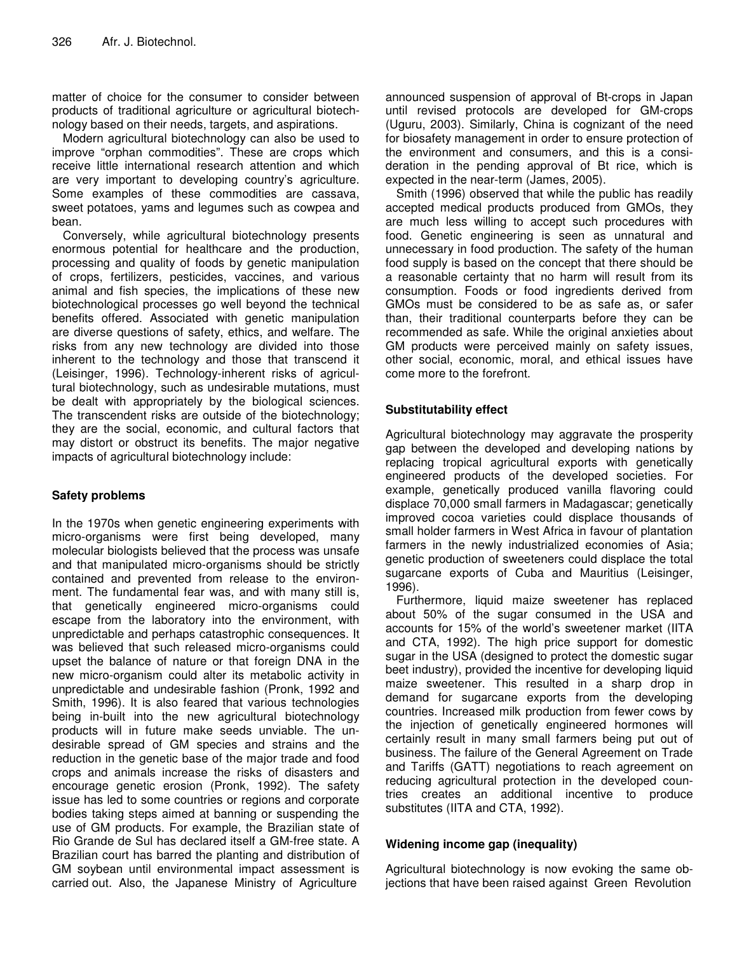matter of choice for the consumer to consider between products of traditional agriculture or agricultural biotechnology based on their needs, targets, and aspirations.

Modern agricultural biotechnology can also be used to improve "orphan commodities". These are crops which receive little international research attention and which are very important to developing country's agriculture. Some examples of these commodities are cassava, sweet potatoes, yams and legumes such as cowpea and bean.

Conversely, while agricultural biotechnology presents enormous potential for healthcare and the production, processing and quality of foods by genetic manipulation of crops, fertilizers, pesticides, vaccines, and various animal and fish species, the implications of these new biotechnological processes go well beyond the technical benefits offered. Associated with genetic manipulation are diverse questions of safety, ethics, and welfare. The risks from any new technology are divided into those inherent to the technology and those that transcend it (Leisinger, 1996). Technology-inherent risks of agricultural biotechnology, such as undesirable mutations, must be dealt with appropriately by the biological sciences. The transcendent risks are outside of the biotechnology; they are the social, economic, and cultural factors that may distort or obstruct its benefits. The major negative impacts of agricultural biotechnology include:

# **Safety problems**

In the 1970s when genetic engineering experiments with micro-organisms were first being developed, many molecular biologists believed that the process was unsafe and that manipulated micro-organisms should be strictly contained and prevented from release to the environment. The fundamental fear was, and with many still is, that genetically engineered micro-organisms could escape from the laboratory into the environment, with unpredictable and perhaps catastrophic consequences. It was believed that such released micro-organisms could upset the balance of nature or that foreign DNA in the new micro-organism could alter its metabolic activity in unpredictable and undesirable fashion (Pronk, 1992 and Smith, 1996). It is also feared that various technologies being in-built into the new agricultural biotechnology products will in future make seeds unviable. The undesirable spread of GM species and strains and the reduction in the genetic base of the major trade and food crops and animals increase the risks of disasters and encourage genetic erosion (Pronk, 1992). The safety issue has led to some countries or regions and corporate bodies taking steps aimed at banning or suspending the use of GM products. For example, the Brazilian state of Rio Grande de Sul has declared itself a GM-free state. A Brazilian court has barred the planting and distribution of GM soybean until environmental impact assessment is carried out. Also, the Japanese Ministry of Agriculture

announced suspension of approval of Bt-crops in Japan until revised protocols are developed for GM-crops (Uguru, 2003). Similarly, China is cognizant of the need for biosafety management in order to ensure protection of the environment and consumers, and this is a consideration in the pending approval of Bt rice, which is expected in the near-term (James, 2005).

Smith (1996) observed that while the public has readily accepted medical products produced from GMOs, they are much less willing to accept such procedures with food. Genetic engineering is seen as unnatural and unnecessary in food production. The safety of the human food supply is based on the concept that there should be a reasonable certainty that no harm will result from its consumption. Foods or food ingredients derived from GMOs must be considered to be as safe as, or safer than, their traditional counterparts before they can be recommended as safe. While the original anxieties about GM products were perceived mainly on safety issues, other social, economic, moral, and ethical issues have come more to the forefront.

#### **Substitutability effect**

Agricultural biotechnology may aggravate the prosperity gap between the developed and developing nations by replacing tropical agricultural exports with genetically engineered products of the developed societies. For example, genetically produced vanilla flavoring could displace 70,000 small farmers in Madagascar; genetically improved cocoa varieties could displace thousands of small holder farmers in West Africa in favour of plantation farmers in the newly industrialized economies of Asia; genetic production of sweeteners could displace the total sugarcane exports of Cuba and Mauritius (Leisinger, 1996).

Furthermore, liquid maize sweetener has replaced about 50% of the sugar consumed in the USA and accounts for 15% of the world's sweetener market (IITA and CTA, 1992). The high price support for domestic sugar in the USA (designed to protect the domestic sugar beet industry), provided the incentive for developing liquid maize sweetener. This resulted in a sharp drop in demand for sugarcane exports from the developing countries. Increased milk production from fewer cows by the injection of genetically engineered hormones will certainly result in many small farmers being put out of business. The failure of the General Agreement on Trade and Tariffs (GATT) negotiations to reach agreement on reducing agricultural protection in the developed countries creates an additional incentive to produce substitutes (IITA and CTA, 1992).

# **Widening income gap (inequality)**

Agricultural biotechnology is now evoking the same objections that have been raised against Green Revolution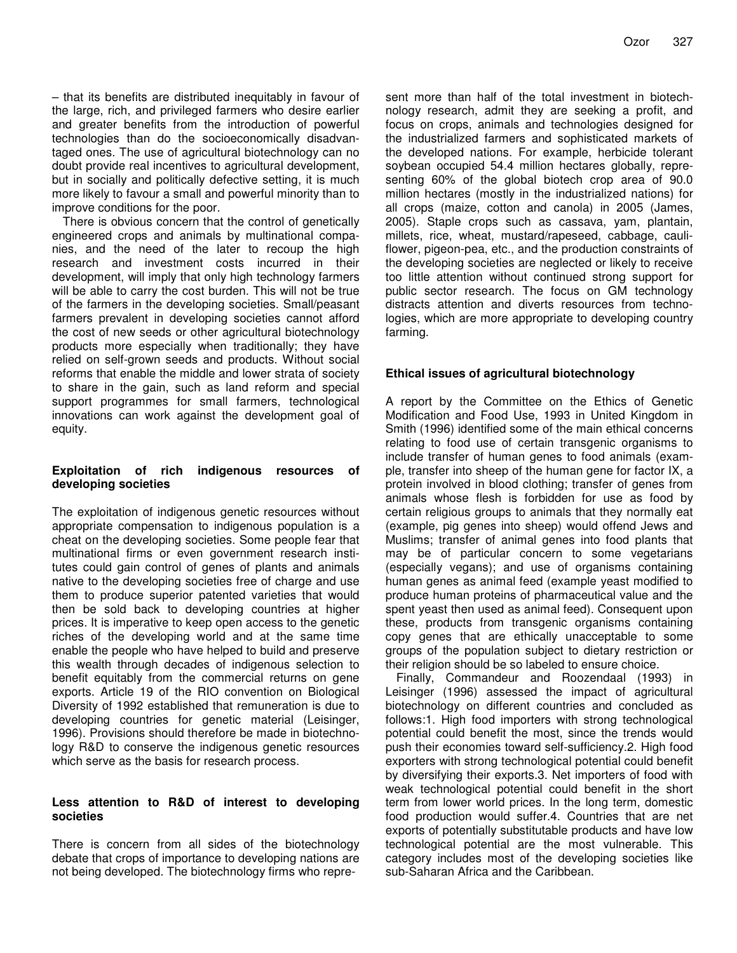– that its benefits are distributed inequitably in favour of the large, rich, and privileged farmers who desire earlier and greater benefits from the introduction of powerful technologies than do the socioeconomically disadvantaged ones. The use of agricultural biotechnology can no doubt provide real incentives to agricultural development, but in socially and politically defective setting, it is much more likely to favour a small and powerful minority than to improve conditions for the poor.

There is obvious concern that the control of genetically engineered crops and animals by multinational companies, and the need of the later to recoup the high research and investment costs incurred in their development, will imply that only high technology farmers will be able to carry the cost burden. This will not be true of the farmers in the developing societies. Small/peasant farmers prevalent in developing societies cannot afford the cost of new seeds or other agricultural biotechnology products more especially when traditionally; they have relied on self-grown seeds and products. Without social reforms that enable the middle and lower strata of society to share in the gain, such as land reform and special support programmes for small farmers, technological innovations can work against the development goal of equity.

#### **Exploitation of rich indigenous resources of developing societies**

The exploitation of indigenous genetic resources without appropriate compensation to indigenous population is a cheat on the developing societies. Some people fear that multinational firms or even government research institutes could gain control of genes of plants and animals native to the developing societies free of charge and use them to produce superior patented varieties that would then be sold back to developing countries at higher prices. It is imperative to keep open access to the genetic riches of the developing world and at the same time enable the people who have helped to build and preserve this wealth through decades of indigenous selection to benefit equitably from the commercial returns on gene exports. Article 19 of the RIO convention on Biological Diversity of 1992 established that remuneration is due to developing countries for genetic material (Leisinger, 1996). Provisions should therefore be made in biotechnology R&D to conserve the indigenous genetic resources which serve as the basis for research process.

#### **Less attention to R&D of interest to developing societies**

There is concern from all sides of the biotechnology debate that crops of importance to developing nations are not being developed. The biotechnology firms who repre-

sent more than half of the total investment in biotechnology research, admit they are seeking a profit, and focus on crops, animals and technologies designed for the industrialized farmers and sophisticated markets of the developed nations. For example, herbicide tolerant soybean occupied 54.4 million hectares globally, representing 60% of the global biotech crop area of 90.0 million hectares (mostly in the industrialized nations) for all crops (maize, cotton and canola) in 2005 (James, 2005). Staple crops such as cassava, yam, plantain, millets, rice, wheat, mustard/rapeseed, cabbage, cauliflower, pigeon-pea, etc., and the production constraints of the developing societies are neglected or likely to receive too little attention without continued strong support for public sector research. The focus on GM technology distracts attention and diverts resources from technologies, which are more appropriate to developing country farming.

#### **Ethical issues of agricultural biotechnology**

A report by the Committee on the Ethics of Genetic Modification and Food Use, 1993 in United Kingdom in Smith (1996) identified some of the main ethical concerns relating to food use of certain transgenic organisms to include transfer of human genes to food animals (example, transfer into sheep of the human gene for factor IX, a protein involved in blood clothing; transfer of genes from animals whose flesh is forbidden for use as food by certain religious groups to animals that they normally eat (example, pig genes into sheep) would offend Jews and Muslims; transfer of animal genes into food plants that may be of particular concern to some vegetarians (especially vegans); and use of organisms containing human genes as animal feed (example yeast modified to produce human proteins of pharmaceutical value and the spent yeast then used as animal feed). Consequent upon these, products from transgenic organisms containing copy genes that are ethically unacceptable to some groups of the population subject to dietary restriction or their religion should be so labeled to ensure choice.

Finally, Commandeur and Roozendaal (1993) in Leisinger (1996) assessed the impact of agricultural biotechnology on different countries and concluded as follows:1. High food importers with strong technological potential could benefit the most, since the trends would push their economies toward self-sufficiency.2. High food exporters with strong technological potential could benefit by diversifying their exports.3. Net importers of food with weak technological potential could benefit in the short term from lower world prices. In the long term, domestic food production would suffer.4. Countries that are net exports of potentially substitutable products and have low technological potential are the most vulnerable. This category includes most of the developing societies like sub-Saharan Africa and the Caribbean.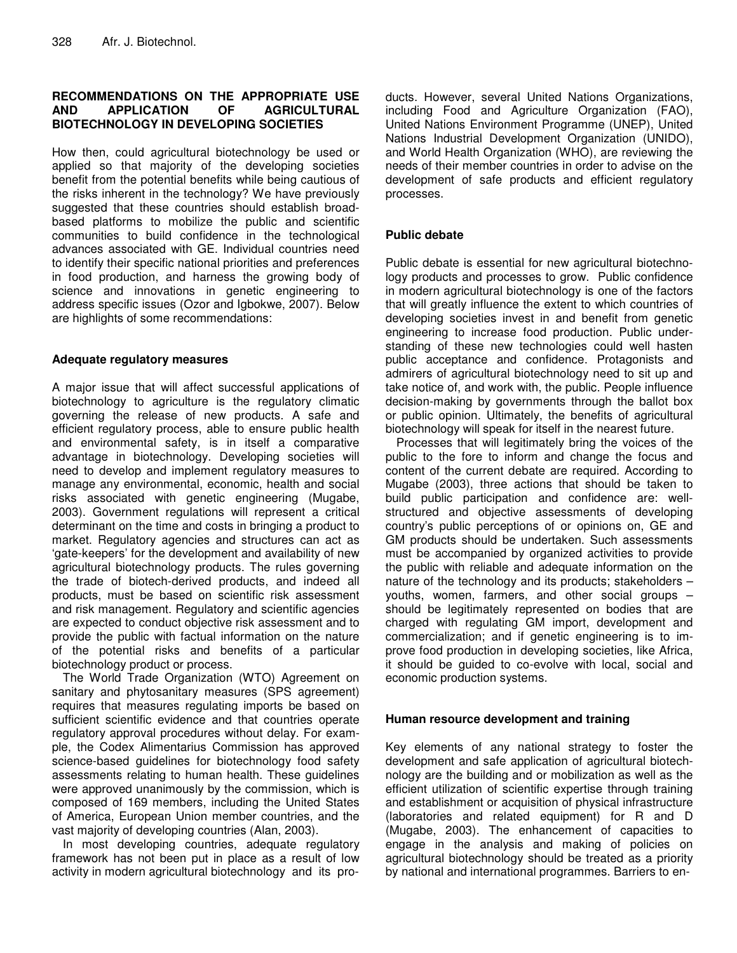# **RECOMMENDATIONS ON THE APPROPRIATE USE AND APPLICATION OF AGRICULTURAL BIOTECHNOLOGY IN DEVELOPING SOCIETIES**

How then, could agricultural biotechnology be used or applied so that majority of the developing societies benefit from the potential benefits while being cautious of the risks inherent in the technology? We have previously suggested that these countries should establish broadbased platforms to mobilize the public and scientific communities to build confidence in the technological advances associated with GE. Individual countries need to identify their specific national priorities and preferences in food production, and harness the growing body of science and innovations in genetic engineering to address specific issues (Ozor and Igbokwe, 2007). Below are highlights of some recommendations:

#### **Adequate regulatory measures**

A major issue that will affect successful applications of biotechnology to agriculture is the regulatory climatic governing the release of new products. A safe and efficient regulatory process, able to ensure public health and environmental safety, is in itself a comparative advantage in biotechnology. Developing societies will need to develop and implement regulatory measures to manage any environmental, economic, health and social risks associated with genetic engineering (Mugabe, 2003). Government regulations will represent a critical determinant on the time and costs in bringing a product to market. Regulatory agencies and structures can act as 'gate-keepers' for the development and availability of new agricultural biotechnology products. The rules governing the trade of biotech-derived products, and indeed all products, must be based on scientific risk assessment and risk management. Regulatory and scientific agencies are expected to conduct objective risk assessment and to provide the public with factual information on the nature of the potential risks and benefits of a particular biotechnology product or process.

The World Trade Organization (WTO) Agreement on sanitary and phytosanitary measures (SPS agreement) requires that measures regulating imports be based on sufficient scientific evidence and that countries operate regulatory approval procedures without delay. For example, the Codex Alimentarius Commission has approved science-based guidelines for biotechnology food safety assessments relating to human health. These guidelines were approved unanimously by the commission, which is composed of 169 members, including the United States of America, European Union member countries, and the vast majority of developing countries (Alan, 2003).

In most developing countries, adequate regulatory framework has not been put in place as a result of low activity in modern agricultural biotechnology and its pro-

ducts. However, several United Nations Organizations, including Food and Agriculture Organization (FAO), United Nations Environment Programme (UNEP), United Nations Industrial Development Organization (UNIDO), and World Health Organization (WHO), are reviewing the needs of their member countries in order to advise on the development of safe products and efficient regulatory processes.

# **Public debate**

Public debate is essential for new agricultural biotechnology products and processes to grow. Public confidence in modern agricultural biotechnology is one of the factors that will greatly influence the extent to which countries of developing societies invest in and benefit from genetic engineering to increase food production. Public understanding of these new technologies could well hasten public acceptance and confidence. Protagonists and admirers of agricultural biotechnology need to sit up and take notice of, and work with, the public. People influence decision-making by governments through the ballot box or public opinion. Ultimately, the benefits of agricultural biotechnology will speak for itself in the nearest future.

Processes that will legitimately bring the voices of the public to the fore to inform and change the focus and content of the current debate are required. According to Mugabe (2003), three actions that should be taken to build public participation and confidence are: wellstructured and objective assessments of developing country's public perceptions of or opinions on, GE and GM products should be undertaken. Such assessments must be accompanied by organized activities to provide the public with reliable and adequate information on the nature of the technology and its products; stakeholders – youths, women, farmers, and other social groups – should be legitimately represented on bodies that are charged with regulating GM import, development and commercialization; and if genetic engineering is to improve food production in developing societies, like Africa, it should be guided to co-evolve with local, social and economic production systems.

#### **Human resource development and training**

Key elements of any national strategy to foster the development and safe application of agricultural biotechnology are the building and or mobilization as well as the efficient utilization of scientific expertise through training and establishment or acquisition of physical infrastructure (laboratories and related equipment) for R and D (Mugabe, 2003). The enhancement of capacities to engage in the analysis and making of policies on agricultural biotechnology should be treated as a priority by national and international programmes. Barriers to en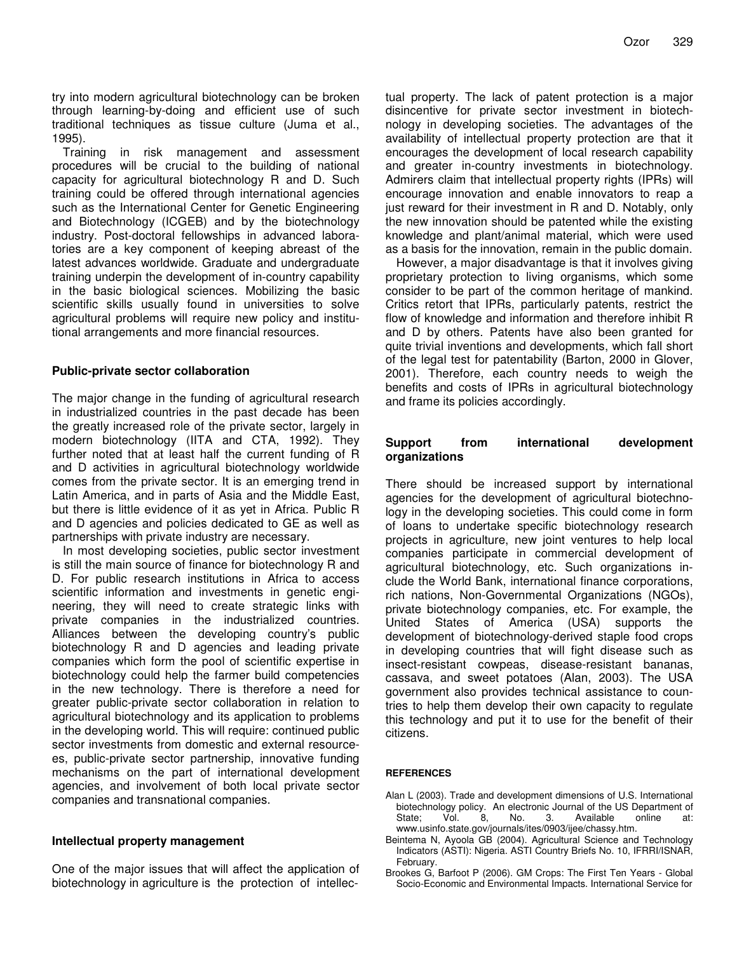try into modern agricultural biotechnology can be broken through learning-by-doing and efficient use of such traditional techniques as tissue culture (Juma et al., 1995).

Training in risk management and assessment procedures will be crucial to the building of national capacity for agricultural biotechnology R and D. Such training could be offered through international agencies such as the International Center for Genetic Engineering and Biotechnology (ICGEB) and by the biotechnology industry. Post-doctoral fellowships in advanced laboratories are a key component of keeping abreast of the latest advances worldwide. Graduate and undergraduate training underpin the development of in-country capability in the basic biological sciences. Mobilizing the basic scientific skills usually found in universities to solve agricultural problems will require new policy and institutional arrangements and more financial resources.

#### **Public-private sector collaboration**

The major change in the funding of agricultural research in industrialized countries in the past decade has been the greatly increased role of the private sector, largely in modern biotechnology (IITA and CTA, 1992). They further noted that at least half the current funding of R and D activities in agricultural biotechnology worldwide comes from the private sector. It is an emerging trend in Latin America, and in parts of Asia and the Middle East, but there is little evidence of it as yet in Africa. Public R and D agencies and policies dedicated to GE as well as partnerships with private industry are necessary.

In most developing societies, public sector investment is still the main source of finance for biotechnology R and D. For public research institutions in Africa to access scientific information and investments in genetic engineering, they will need to create strategic links with private companies in the industrialized countries. Alliances between the developing country's public biotechnology R and D agencies and leading private companies which form the pool of scientific expertise in biotechnology could help the farmer build competencies in the new technology. There is therefore a need for greater public-private sector collaboration in relation to agricultural biotechnology and its application to problems in the developing world. This will require: continued public sector investments from domestic and external resourcees, public-private sector partnership, innovative funding mechanisms on the part of international development agencies, and involvement of both local private sector companies and transnational companies.

#### **Intellectual property management**

One of the major issues that will affect the application of biotechnology in agriculture is the protection of intellectual property. The lack of patent protection is a major disincentive for private sector investment in biotechnology in developing societies. The advantages of the availability of intellectual property protection are that it encourages the development of local research capability and greater in-country investments in biotechnology. Admirers claim that intellectual property rights (IPRs) will encourage innovation and enable innovators to reap a just reward for their investment in R and D. Notably, only the new innovation should be patented while the existing knowledge and plant/animal material, which were used as a basis for the innovation, remain in the public domain.

However, a major disadvantage is that it involves giving proprietary protection to living organisms, which some consider to be part of the common heritage of mankind. Critics retort that IPRs, particularly patents, restrict the flow of knowledge and information and therefore inhibit R and D by others. Patents have also been granted for quite trivial inventions and developments, which fall short of the legal test for patentability (Barton, 2000 in Glover, 2001). Therefore, each country needs to weigh the benefits and costs of IPRs in agricultural biotechnology and frame its policies accordingly.

#### **Support from international development organizations**

There should be increased support by international agencies for the development of agricultural biotechnology in the developing societies. This could come in form of loans to undertake specific biotechnology research projects in agriculture, new joint ventures to help local companies participate in commercial development of agricultural biotechnology, etc. Such organizations include the World Bank, international finance corporations, rich nations, Non-Governmental Organizations (NGOs), private biotechnology companies, etc. For example, the United States of America (USA) supports the development of biotechnology-derived staple food crops in developing countries that will fight disease such as insect-resistant cowpeas, disease-resistant bananas, cassava, and sweet potatoes (Alan, 2003). The USA government also provides technical assistance to countries to help them develop their own capacity to regulate this technology and put it to use for the benefit of their citizens.

#### **REFERENCES**

- Alan L (2003). Trade and development dimensions of U.S. International biotechnology policy. An electronic Journal of the US Department of State; Vol. 8, No. 3. Available online at: www.usinfo.state.gov/journals/ites/0903/ijee/chassy.htm.
- Beintema N, Ayoola GB (2004). Agricultural Science and Technology Indicators (ASTI): Nigeria. ASTI Country Briefs No. 10, IFRRI/ISNAR, February.
- Brookes G, Barfoot P (2006). GM Crops: The First Ten Years Global Socio-Economic and Environmental Impacts. International Service for